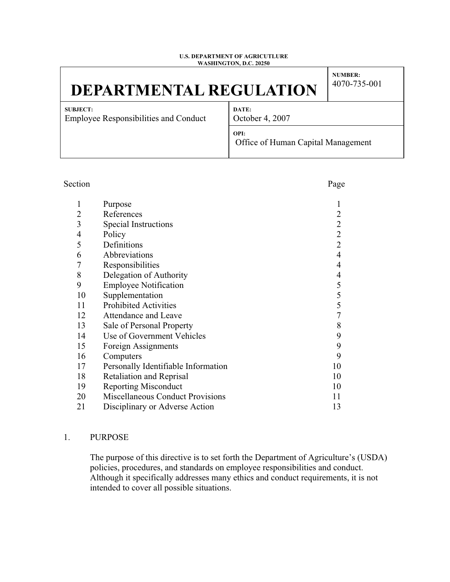#### **U.S. DEPARTMENT OF AGRICUTLURE WASHINGTON, D.C. 20250**

# **DEPARTMENTAL REGULATION**

**NUMBER:** 4070-735-001

**SUBJECT:** Employee Responsibilities and Conduct **DATE:** October 4, 2007

**OPI:**  Office of Human Capital Management

| Section        |                                         | Page                                       |
|----------------|-----------------------------------------|--------------------------------------------|
| $\mathbf{1}$   | Purpose                                 |                                            |
| $\overline{2}$ | References                              | $\overline{2}$                             |
| 3              | Special Instructions                    | $\begin{array}{c} 2 \\ 2 \\ 2 \end{array}$ |
| $\overline{4}$ | Policy                                  |                                            |
| 5              | Definitions                             |                                            |
| 6              | Abbreviations                           | $\overline{4}$                             |
| $\overline{7}$ | Responsibilities                        | $\overline{4}$                             |
| 8              | Delegation of Authority                 | $\overline{4}$                             |
| 9              | <b>Employee Notification</b>            |                                            |
| 10             | Supplementation                         | $\begin{array}{c} 5 \\ 5 \\ 5 \end{array}$ |
| 11             | <b>Prohibited Activities</b>            |                                            |
| 12             | Attendance and Leave                    | $\overline{7}$                             |
| 13             | Sale of Personal Property               | 8                                          |
| 14             | Use of Government Vehicles              | 9                                          |
| 15             | Foreign Assignments                     | 9                                          |
| 16             | Computers                               | 9                                          |
| 17             | Personally Identifiable Information     | 10                                         |
| 18             | <b>Retaliation and Reprisal</b>         | 10                                         |
| 19             | <b>Reporting Misconduct</b>             | 10                                         |
| 20             | <b>Miscellaneous Conduct Provisions</b> | 11                                         |
| 21             | Disciplinary or Adverse Action          | 13                                         |
|                |                                         |                                            |

# 1. PURPOSE

The purpose of this directive is to set forth the Department of Agriculture's (USDA) policies, procedures, and standards on employee responsibilities and conduct. Although it specifically addresses many ethics and conduct requirements, it is not intended to cover all possible situations.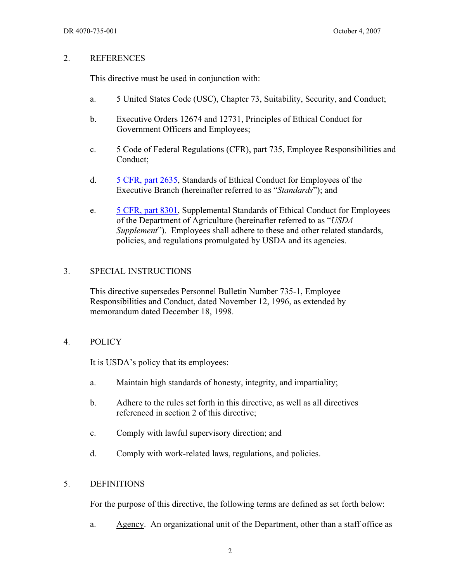#### 2. REFERENCES

This directive must be used in conjunction with:

- a. 5 United States Code (USC), Chapter 73, Suitability, Security, and Conduct;
- b. Executive Orders 12674 and 12731, Principles of Ethical Conduct for Government Officers and Employees;
- c. 5 Code of Federal Regulations (CFR), part 735, Employee Responsibilities and Conduct;
- d. 5 CFR, part 2635, Standards of Ethical Conduct for Employees of the Executive Branch (hereinafter referred to as "*Standards*"); and
- e. 5 CFR, part 8301, Supplemental Standards of Ethical Conduct for Employees of the Department of Agriculture (hereinafter referred to as "*USDA Supplement*"). Employees shall adhere to these and other related standards, policies, and regulations promulgated by USDA and its agencies.

#### 3. SPECIAL INSTRUCTIONS

This directive supersedes Personnel Bulletin Number 735-1, Employee Responsibilities and Conduct, dated November 12, 1996, as extended by memorandum dated December 18, 1998.

#### 4. POLICY

It is USDA's policy that its employees:

- a. Maintain high standards of honesty, integrity, and impartiality;
- b. Adhere to the rules set forth in this directive, as well as all directives referenced in section 2 of this directive;
- c. Comply with lawful supervisory direction; and
- d. Comply with work-related laws, regulations, and policies.

#### 5. DEFINITIONS

For the purpose of this directive, the following terms are defined as set forth below:

a. Agency. An organizational unit of the Department, other than a staff office as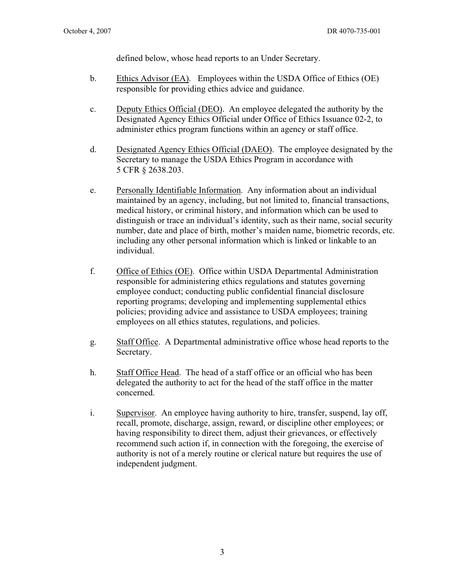defined below, whose head reports to an Under Secretary.

- b. Ethics Advisor (EA). Employees within the USDA Office of Ethics (OE) responsible for providing ethics advice and guidance.
- c. Deputy Ethics Official (DEO). An employee delegated the authority by the Designated Agency Ethics Official under Office of Ethics Issuance 02-2, to administer ethics program functions within an agency or staff office.
- d. Designated Agency Ethics Official (DAEO). The employee designated by the Secretary to manage the USDA Ethics Program in accordance with 5 CFR § 2638.203.
- e. Personally Identifiable Information. Any information about an individual maintained by an agency, including, but not limited to, financial transactions, medical history, or criminal history, and information which can be used to distinguish or trace an individual's identity, such as their name, social security number, date and place of birth, mother's maiden name, biometric records, etc. including any other personal information which is linked or linkable to an individual.
- f. Office of Ethics (OE). Office within USDA Departmental Administration responsible for administering ethics regulations and statutes governing employee conduct; conducting public confidential financial disclosure reporting programs; developing and implementing supplemental ethics policies; providing advice and assistance to USDA employees; training employees on all ethics statutes, regulations, and policies.
- g. Staff Office. A Departmental administrative office whose head reports to the Secretary.
- h. Staff Office Head. The head of a staff office or an official who has been delegated the authority to act for the head of the staff office in the matter concerned.
- i. Supervisor. An employee having authority to hire, transfer, suspend, lay off, recall, promote, discharge, assign, reward, or discipline other employees; or having responsibility to direct them, adjust their grievances, or effectively recommend such action if, in connection with the foregoing, the exercise of authority is not of a merely routine or clerical nature but requires the use of independent judgment.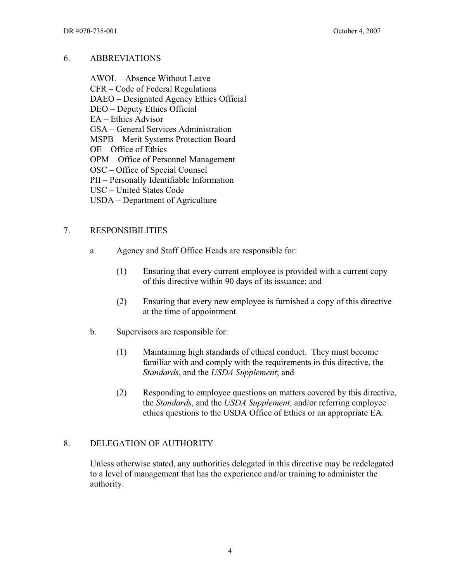#### 6. ABBREVIATIONS

AWOL – Absence Without Leave CFR – Code of Federal Regulations DAEO – Designated Agency Ethics Official DEO – Deputy Ethics Official EA – Ethics Advisor GSA – General Services Administration MSPB – Merit Systems Protection Board OE – Office of Ethics OPM – Office of Personnel Management OSC – Office of Special Counsel PII – Personally Identifiable Information USC – United States Code USDA – Department of Agriculture

#### 7. RESPONSIBILITIES

- a. Agency and Staff Office Heads are responsible for:
	- (1) Ensuring that every current employee is provided with a current copy of this directive within 90 days of its issuance; and
	- (2) Ensuring that every new employee is furnished a copy of this directive at the time of appointment.
- b. Supervisors are responsible for:
	- (1) Maintaining high standards of ethical conduct. They must become familiar with and comply with the requirements in this directive, the *Standards*, and the *USDA Supplement*; and
	- (2) Responding to employee questions on matters covered by this directive, the *Standards*, and the *USDA Supplement*, and/or referring employee ethics questions to the USDA Office of Ethics or an appropriate EA.

#### 8. DELEGATION OF AUTHORITY

Unless otherwise stated, any authorities delegated in this directive may be redelegated to a level of management that has the experience and/or training to administer the authority.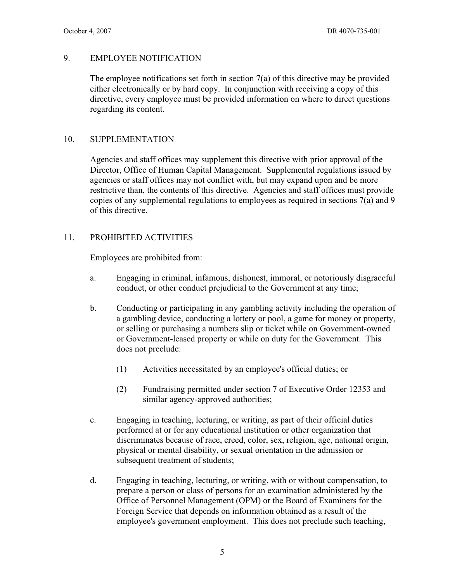# 9. EMPLOYEE NOTIFICATION

The employee notifications set forth in section 7(a) of this directive may be provided either electronically or by hard copy. In conjunction with receiving a copy of this directive, every employee must be provided information on where to direct questions regarding its content.

#### 10. SUPPLEMENTATION

Agencies and staff offices may supplement this directive with prior approval of the Director, Office of Human Capital Management. Supplemental regulations issued by agencies or staff offices may not conflict with, but may expand upon and be more restrictive than, the contents of this directive. Agencies and staff offices must provide copies of any supplemental regulations to employees as required in sections 7(a) and 9 of this directive.

#### 11. PROHIBITED ACTIVITIES

Employees are prohibited from:

- a. Engaging in criminal, infamous, dishonest, immoral, or notoriously disgraceful conduct, or other conduct prejudicial to the Government at any time;
- b. Conducting or participating in any gambling activity including the operation of a gambling device, conducting a lottery or pool, a game for money or property, or selling or purchasing a numbers slip or ticket while on Government-owned or Government-leased property or while on duty for the Government. This does not preclude:
	- (1) Activities necessitated by an employee's official duties; or
	- (2) Fundraising permitted under section 7 of Executive Order 12353 and similar agency-approved authorities;
- c. Engaging in teaching, lecturing, or writing, as part of their official duties performed at or for any educational institution or other organization that discriminates because of race, creed, color, sex, religion, age, national origin, physical or mental disability, or sexual orientation in the admission or subsequent treatment of students;
- d. Engaging in teaching, lecturing, or writing, with or without compensation, to prepare a person or class of persons for an examination administered by the Office of Personnel Management (OPM) or the Board of Examiners for the Foreign Service that depends on information obtained as a result of the employee's government employment. This does not preclude such teaching,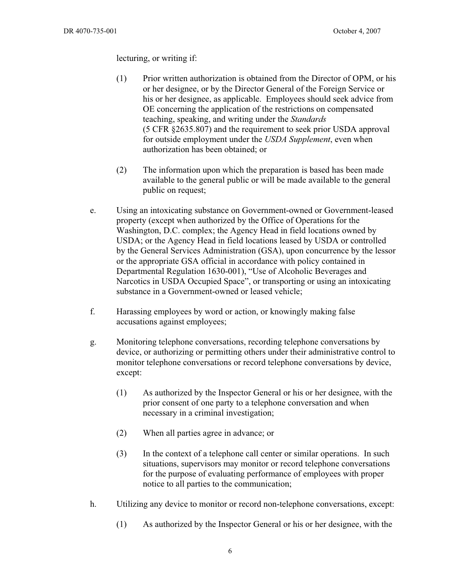lecturing, or writing if:

- (1) Prior written authorization is obtained from the Director of OPM, or his or her designee, or by the Director General of the Foreign Service or his or her designee, as applicable. Employees should seek advice from OE concerning the application of the restrictions on compensated teaching, speaking, and writing under the *Standards* (5 CFR §2635.807) and the requirement to seek prior USDA approval for outside employment under the *USDA Supplement*, even when authorization has been obtained; or
- (2) The information upon which the preparation is based has been made available to the general public or will be made available to the general public on request;
- e. Using an intoxicating substance on Government-owned or Government-leased property (except when authorized by the Office of Operations for the Washington, D.C. complex; the Agency Head in field locations owned by USDA; or the Agency Head in field locations leased by USDA or controlled by the General Services Administration (GSA), upon concurrence by the lessor or the appropriate GSA official in accordance with policy contained in Departmental Regulation 1630-001), "Use of Alcoholic Beverages and Narcotics in USDA Occupied Space", or transporting or using an intoxicating substance in a Government-owned or leased vehicle;
- f. Harassing employees by word or action, or knowingly making false accusations against employees;
- g. Monitoring telephone conversations, recording telephone conversations by device, or authorizing or permitting others under their administrative control to monitor telephone conversations or record telephone conversations by device, except:
	- (1) As authorized by the Inspector General or his or her designee, with the prior consent of one party to a telephone conversation and when necessary in a criminal investigation;
	- (2) When all parties agree in advance; or
	- (3) In the context of a telephone call center or similar operations. In such situations, supervisors may monitor or record telephone conversations for the purpose of evaluating performance of employees with proper notice to all parties to the communication;
- h. Utilizing any device to monitor or record non-telephone conversations, except:
	- (1) As authorized by the Inspector General or his or her designee, with the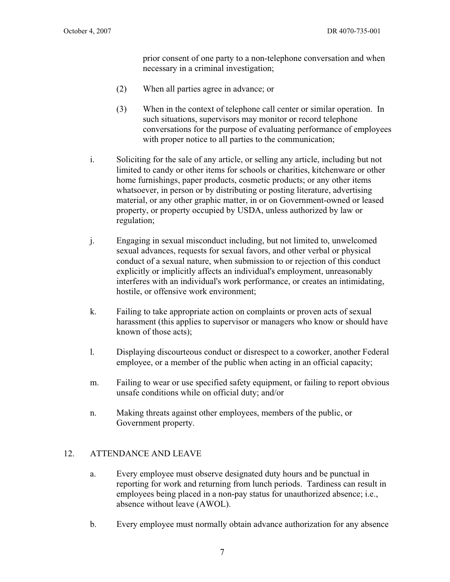prior consent of one party to a non-telephone conversation and when necessary in a criminal investigation;

- (2) When all parties agree in advance; or
- (3) When in the context of telephone call center or similar operation. In such situations, supervisors may monitor or record telephone conversations for the purpose of evaluating performance of employees with proper notice to all parties to the communication;
- i. Soliciting for the sale of any article, or selling any article, including but not limited to candy or other items for schools or charities, kitchenware or other home furnishings, paper products, cosmetic products; or any other items whatsoever, in person or by distributing or posting literature, advertising material, or any other graphic matter, in or on Government-owned or leased property, or property occupied by USDA, unless authorized by law or regulation;
- j. Engaging in sexual misconduct including, but not limited to, unwelcomed sexual advances, requests for sexual favors, and other verbal or physical conduct of a sexual nature, when submission to or rejection of this conduct explicitly or implicitly affects an individual's employment, unreasonably interferes with an individual's work performance, or creates an intimidating, hostile, or offensive work environment;
- k. Failing to take appropriate action on complaints or proven acts of sexual harassment (this applies to supervisor or managers who know or should have known of those acts);
- l. Displaying discourteous conduct or disrespect to a coworker, another Federal employee, or a member of the public when acting in an official capacity;
- m. Failing to wear or use specified safety equipment, or failing to report obvious unsafe conditions while on official duty; and/or
- n. Making threats against other employees, members of the public, or Government property.

#### 12. ATTENDANCE AND LEAVE

- a. Every employee must observe designated duty hours and be punctual in reporting for work and returning from lunch periods. Tardiness can result in employees being placed in a non-pay status for unauthorized absence; i.e., absence without leave (AWOL).
- b. Every employee must normally obtain advance authorization for any absence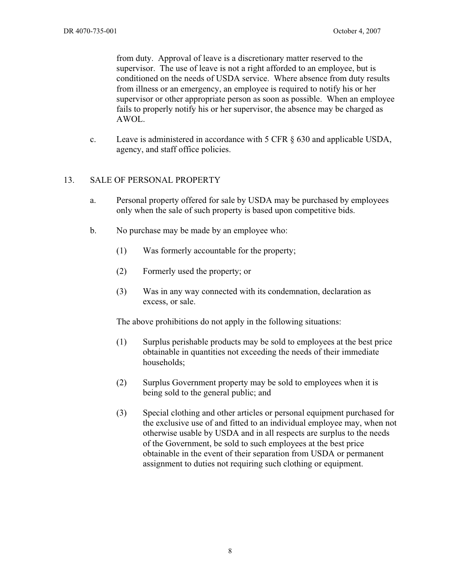from duty. Approval of leave is a discretionary matter reserved to the supervisor. The use of leave is not a right afforded to an employee, but is conditioned on the needs of USDA service. Where absence from duty results from illness or an emergency, an employee is required to notify his or her supervisor or other appropriate person as soon as possible. When an employee fails to properly notify his or her supervisor, the absence may be charged as AWOL.

c. Leave is administered in accordance with  $5 \text{ CFR} \, \text{\&} 630$  and applicable USDA, agency, and staff office policies.

#### 13. SALE OF PERSONAL PROPERTY

- a. Personal property offered for sale by USDA may be purchased by employees only when the sale of such property is based upon competitive bids.
- b. No purchase may be made by an employee who:
	- (1) Was formerly accountable for the property;
	- (2) Formerly used the property; or
	- (3) Was in any way connected with its condemnation, declaration as excess, or sale.

The above prohibitions do not apply in the following situations:

- (1) Surplus perishable products may be sold to employees at the best price obtainable in quantities not exceeding the needs of their immediate households;
- (2) Surplus Government property may be sold to employees when it is being sold to the general public; and
- (3) Special clothing and other articles or personal equipment purchased for the exclusive use of and fitted to an individual employee may, when not otherwise usable by USDA and in all respects are surplus to the needs of the Government, be sold to such employees at the best price obtainable in the event of their separation from USDA or permanent assignment to duties not requiring such clothing or equipment.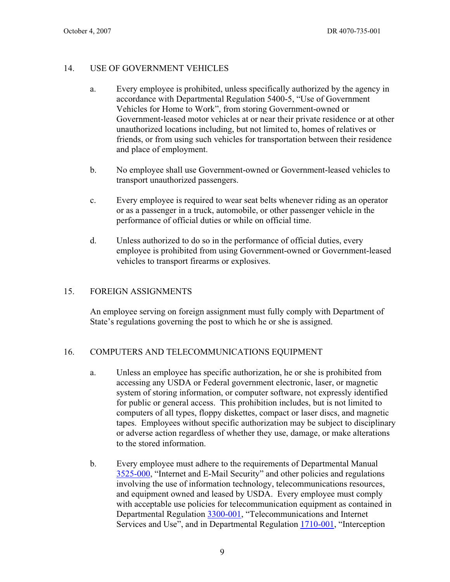# 14. USE OF GOVERNMENT VEHICLES

- a. Every employee is prohibited, unless specifically authorized by the agency in accordance with Departmental Regulation 5400-5, "Use of Government Vehicles for Home to Work", from storing Government-owned or Government-leased motor vehicles at or near their private residence or at other unauthorized locations including, but not limited to, homes of relatives or friends, or from using such vehicles for transportation between their residence and place of employment.
- b. No employee shall use Government-owned or Government-leased vehicles to transport unauthorized passengers.
- c. Every employee is required to wear seat belts whenever riding as an operator or as a passenger in a truck, automobile, or other passenger vehicle in the performance of official duties or while on official time.
- d. Unless authorized to do so in the performance of official duties, every employee is prohibited from using Government-owned or Government-leased vehicles to transport firearms or explosives.

# 15. FOREIGN ASSIGNMENTS

An employee serving on foreign assignment must fully comply with Department of State's regulations governing the post to which he or she is assigned.

# 16. COMPUTERS AND TELECOMMUNICATIONS EQUIPMENT

- a. Unless an employee has specific authorization, he or she is prohibited from accessing any USDA or Federal government electronic, laser, or magnetic system of storing information, or computer software, not expressly identified for public or general access. This prohibition includes, but is not limited to computers of all types, floppy diskettes, compact or laser discs, and magnetic tapes. Employees without specific authorization may be subject to disciplinary or adverse action regardless of whether they use, damage, or make alterations to the stored information.
- b. Every employee must adhere to the requirements of Departmental Manual 3525-000, "Internet and E-Mail Security" and other policies and regulations involving the use of information technology, telecommunications resources, and equipment owned and leased by USDA. Every employee must comply with acceptable use policies for telecommunication equipment as contained in Departmental Regulation 3300-001, "Telecommunications and Internet Services and Use", and in Departmental Regulation 1710-001, "Interception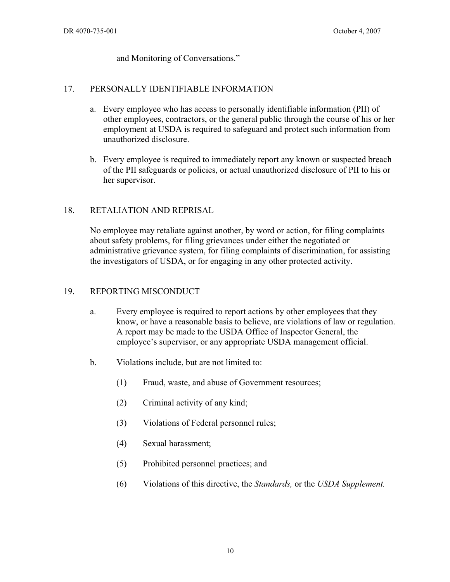and Monitoring of Conversations."

# 17. PERSONALLY IDENTIFIABLE INFORMATION

- a. Every employee who has access to personally identifiable information (PII) of other employees, contractors, or the general public through the course of his or her employment at USDA is required to safeguard and protect such information from unauthorized disclosure.
- b. Every employee is required to immediately report any known or suspected breach of the PII safeguards or policies, or actual unauthorized disclosure of PII to his or her supervisor.

# 18. RETALIATION AND REPRISAL

No employee may retaliate against another, by word or action, for filing complaints about safety problems, for filing grievances under either the negotiated or administrative grievance system, for filing complaints of discrimination, for assisting the investigators of USDA, or for engaging in any other protected activity.

### 19. REPORTING MISCONDUCT

- a. Every employee is required to report actions by other employees that they know, or have a reasonable basis to believe, are violations of law or regulation. A report may be made to the USDA Office of Inspector General, the employee's supervisor, or any appropriate USDA management official.
- b. Violations include, but are not limited to:
	- (1) Fraud, waste, and abuse of Government resources;
	- (2) Criminal activity of any kind;
	- (3) Violations of Federal personnel rules;
	- (4) Sexual harassment;
	- (5) Prohibited personnel practices; and
	- (6) Violations of this directive, the *Standards,* or the *USDA Supplement.*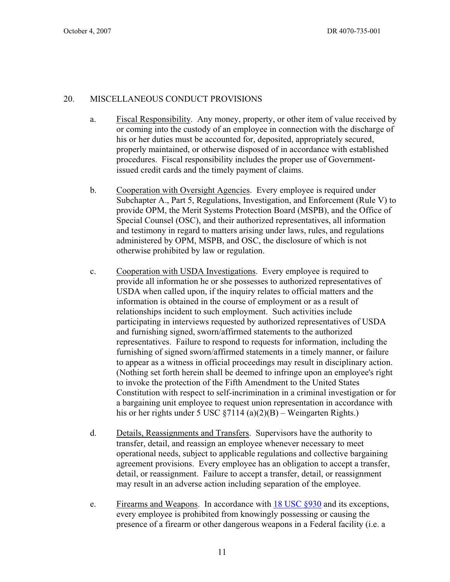# 20. MISCELLANEOUS CONDUCT PROVISIONS

- a. Fiscal Responsibility. Any money, property, or other item of value received by or coming into the custody of an employee in connection with the discharge of his or her duties must be accounted for, deposited, appropriately secured, properly maintained, or otherwise disposed of in accordance with established procedures. Fiscal responsibility includes the proper use of Governmentissued credit cards and the timely payment of claims.
- b. Cooperation with Oversight Agencies. Every employee is required under Subchapter A., Part 5, Regulations, Investigation, and Enforcement (Rule V) to provide OPM, the Merit Systems Protection Board (MSPB), and the Office of Special Counsel (OSC), and their authorized representatives, all information and testimony in regard to matters arising under laws, rules, and regulations administered by OPM, MSPB, and OSC, the disclosure of which is not otherwise prohibited by law or regulation.
- c. Cooperation with USDA Investigations. Every employee is required to provide all information he or she possesses to authorized representatives of USDA when called upon, if the inquiry relates to official matters and the information is obtained in the course of employment or as a result of relationships incident to such employment. Such activities include participating in interviews requested by authorized representatives of USDA and furnishing signed, sworn/affirmed statements to the authorized representatives. Failure to respond to requests for information, including the furnishing of signed sworn/affirmed statements in a timely manner, or failure to appear as a witness in official proceedings may result in disciplinary action. (Nothing set forth herein shall be deemed to infringe upon an employee's right to invoke the protection of the Fifth Amendment to the United States Constitution with respect to self-incrimination in a criminal investigation or for a bargaining unit employee to request union representation in accordance with his or her rights under 5 USC  $\S7114$  (a)(2)(B) – Weingarten Rights.)
- d. Details, Reassignments and Transfers. Supervisors have the authority to transfer, detail, and reassign an employee whenever necessary to meet operational needs, subject to applicable regulations and collective bargaining agreement provisions. Every employee has an obligation to accept a transfer, detail, or reassignment. Failure to accept a transfer, detail, or reassignment may result in an adverse action including separation of the employee.
- e. Firearms and Weapons. In accordance with  $18 \text{ USC } \S 930$  and its exceptions, every employee is prohibited from knowingly possessing or causing the presence of a firearm or other dangerous weapons in a Federal facility (i.e. a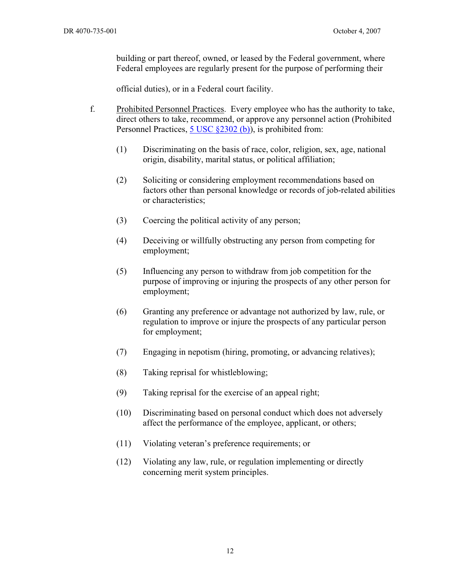building or part thereof, owned, or leased by the Federal government, where Federal employees are regularly present for the purpose of performing their

official duties), or in a Federal court facility.

- f. Prohibited Personnel Practices. Every employee who has the authority to take, direct others to take, recommend, or approve any personnel action (Prohibited Personnel Practices, 5 USC §2302 (b)), is prohibited from:
	- (1) Discriminating on the basis of race, color, religion, sex, age, national origin, disability, marital status, or political affiliation;
	- (2) Soliciting or considering employment recommendations based on factors other than personal knowledge or records of job-related abilities or characteristics;
	- (3) Coercing the political activity of any person;
	- (4) Deceiving or willfully obstructing any person from competing for employment;
	- (5) Influencing any person to withdraw from job competition for the purpose of improving or injuring the prospects of any other person for employment;
	- (6) Granting any preference or advantage not authorized by law, rule, or regulation to improve or injure the prospects of any particular person for employment;
	- (7) Engaging in nepotism (hiring, promoting, or advancing relatives);
	- (8) Taking reprisal for whistleblowing;
	- (9) Taking reprisal for the exercise of an appeal right;
	- (10) Discriminating based on personal conduct which does not adversely affect the performance of the employee, applicant, or others;
	- (11) Violating veteran's preference requirements; or
	- (12) Violating any law, rule, or regulation implementing or directly concerning merit system principles.